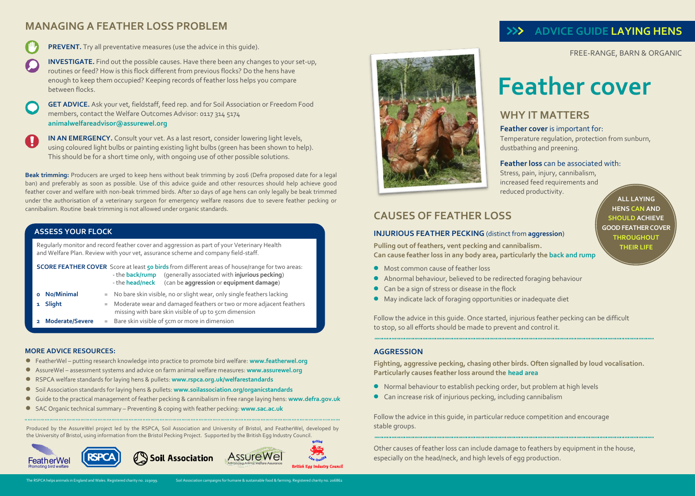# **MANAGING A FEATHER LOSS PROBLEM**



**PREVENT.** Try all preventative measures (use the advice in this quide).

**INVESTIGATE.** Find out the possible causes. Have there been any changes to your set-up, routines or feed? How is this flock different from previous flocks? Do the hens have enough to keep them occupied? Keeping records of feather loss helps you compare between flocks.

**GET ADVICE.** Ask your vet, fieldstaff, feed rep. and for Soil Association or Freedom Food members, contact the Welfare Outcomes Advisor: 0117 314 5174 **animalwelfareadvisor@assurewel.org**

**IN AN EMERGENCY.** Consult your vet. As a last resort, consider lowering light levels, using coloured light bulbs or painting existing light bulbs (green has been shown to help). This should be for a short time only, with ongoing use of other possible solutions.

**Beak trimming:** Producers are urged to keep hens without beak trimming by 2016 (Defra proposed date for a legal ban) and preferably as soon as possible. Use of this advice guide and other resources should help achieve good feather cover and welfare with non-beak trimmed birds. After 10 days of age hens can only legally be beak trimmed under the authorisation of a veterinary surgeon for emergency welfare reasons due to severe feather pecking or cannibalism. Routine beak trimming is not allowed under organic standards.

#### **ASSESS YOUR FLOCK**

Regularly monitor and record feather cover and aggression as part of your Veterinary Health and Welfare Plan. Review with your vet, assurance scheme and company field-staff.

|                 | <b>SCORE FEATHER COVER</b> Score at least 50 birds from different areas of house/range for two areas:<br>(generally associated with injurious pecking)<br>- the <b>back/rump</b><br>- the head/neck (can be aggression or equipment damage) |
|-----------------|---------------------------------------------------------------------------------------------------------------------------------------------------------------------------------------------------------------------------------------------|
| No/Minimal      | $=$ No bare skin visible, no or slight wear, only single feathers lacking                                                                                                                                                                   |
| 1 Slight        | = Moderate wear and damaged feathers or two or more adjacent feathers<br>missing with bare skin visible of up to 5cm dimension                                                                                                              |
| Moderate/Severe | $=$ Bare skin visible of $5$ cm or more in dimension                                                                                                                                                                                        |

#### **MORE ADVICE RESOURCES:**

- FeatherWel putting research knowledge into practice to promote bird welfare: **www.featherwel.org**
- AssureWel assessment systems and advice on farm animal welfare measures: **[www.assurewel.org](http://www.assurewel.org/)**
- **P** RSPCA welfare standards for laying hens & pullets: www.rspca.org.uk/welfarestandards
	- Soil Association standards for laying hens & pullets: **[www.soilassociation.org/or](http://www.soilassociation.org/o)ganicstandards**
	- Guide to the practical management of feather pecking & cannibalism in free range laying hens: **www.defra.gov.uk**
	- SAC Organic technical summary Preventing & coping with feather pecking: **[www.sac.ac.uk](http://www.sac.ac.uk/)**

Produced by the AssureWel project led by the RSPCA, Soil Association and University of Bristol, and FeatherWel, developed by the University of Bristol, using information from the Bristol Pecking Project. Supported by the British Egg Industry Council.





# **>>> ADVICE GUIDE LAYING HENS**

**FREE-RANGE, BARN & ORGANIC** FREE-RANGE, BARN & ORGANIC

# **Feather cover**

# **WHY IT MATTERS**

#### **Feather cover** is important for:

Temperature regulation, protection from sunburn, dustbathing and preening.

#### **Feather loss** can be associated with:

Stress, pain, injury, cannibalism, increased feed requirements and reduced productivity.

## **CAUSES OF FEATHER LOSS**

#### **INJURIOUS FEATHER PECKING** (distinct from **aggression**)

**Pulling out of feathers, vent pecking and cannibalism. Can cause feather loss in any body area, particularly the back and rump**

- Most common cause of feather loss
- Abnormal behaviour, believed to be redirected foraging behaviour
- Can be a sign of stress or disease in the flock
- May indicate lack of foraging opportunities or inadequate diet

Follow the advice in this guide. Once started, injurious feather pecking can be difficult to stop, so all efforts should be made to prevent and control it.

#### **AGGRESSION**

**Fighting, aggressive pecking, chasing other birds. Often signalled by loud vocalisation. Particularly causes feather loss around the head area**

- Normal behaviour to establish pecking order, but problem at high levels
- Can increase risk of injurious pecking, including cannibalism

Follow the advice in this guide, in particular reduce competition and encourage stable groups.

Other causes of feather loss can include damage to feathers by equipment in the house, especially on the head/neck, and high levels of egg production.

**ALL LAYING HENS CAN AND SHOULD ACHIEVE GOOD FEATHER COVER THROUGHOUT THEIR LIFE**